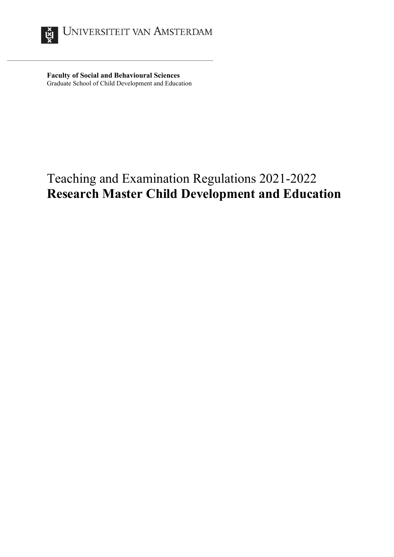

**Faculty of Social and Behavioural Sciences** Graduate School of Child Development and Education

# Teaching and Examination Regulations 2021-2022 **Research Master Child Development and Education**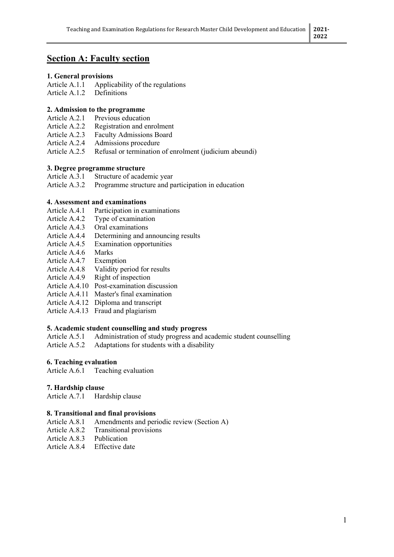## **Section A: Faculty section**

# **1. General provisions**

Applicability of the regulations

Article A.1.2 Definitions

#### **2. Admission to the programme**

- Article A.2.1 Previous education
- Article A.2.2 Registration and enrolment<br>Article A.2.3 Faculty Admissions Board
- Faculty Admissions Board
- Article A.2.4 Admissions procedure
- Article A.2.5 Refusal or termination of enrolment (judicium abeundi)

#### **3. Degree programme structure**

- Article A.3.1 Structure of academic year<br>Article A.3.2 Programme structure and pa
- Programme structure and participation in education

#### **4. Assessment and examinations**

- Article A.4.1 Participation in examinations
- Article A.4.2 Type of examination
- Article A.4.3 Oral examinations
- Article A.4.4 Determining and announcing results
- Article A.4.5 Examination opportunities
- Article A.4.6 Marks
- Article A.4.7 Exemption
- Article A.4.8 Validity period for results
- Article A.4.9 Right of inspection
- Article A.4.10 Post-examination discussion
- Article A.4.11 Master's final examination
- Article A.4.12 Diploma and transcript
- Article A.4.13 Fraud and plagiarism

# **5. Academic student counselling and study progress**

Administration of study progress and academic student counselling

Article A.5.2 Adaptations for students with a disability

## **6. Teaching evaluation**

Article A.6.1 Teaching evaluation

#### **7. Hardship clause**

Article A.7.1 Hardship clause

## **8. Transitional and final provisions**

- Article A.8.1 Amendments and periodic review (Section A)
- Article A.8.2 Transitional provisions
- Article A.8.3 Publication
- Article A.8.4 Effective date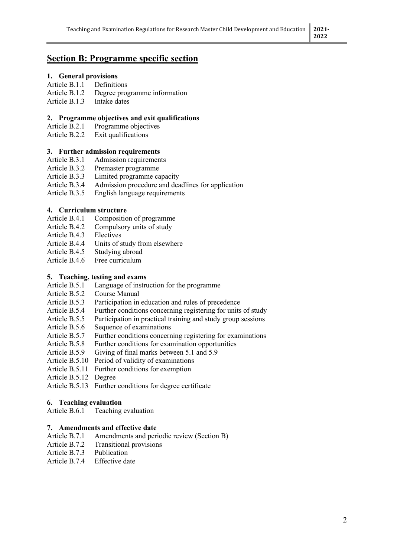## **Section B: Programme specific section**

# **1. General provisions**

- Article  $B.1.1$
- Article B.1.2 Degree programme information
- Article B.1.3 Intake dates

#### **2. Programme objectives and exit qualifications**

- Article B.2.1 Programme objectives<br>Article B.2.2 Exit qualifications
- Exit qualifications

#### **3. Further admission requirements**

- Article B.3.1 Admission requirements
- Article B.3.2 Premaster programme
- Article B.3.3 Limited programme capacity
- Article B.3.4 Admission procedure and deadlines for application
- Article B.3.5 English language requirements

## **4. Curriculum structure**

- Article B.4.1 Composition of programme
- Article B.4.2 Compulsory units of study
- Article B.4.3 Electives
- Article B.4.4 Units of study from elsewhere
- Article B.4.5 Studying abroad
- Article B.4.6 Free curriculum

#### **5. Teaching, testing and exams**

- Article B.5.1 Language of instruction for the programme
- Article B.5.2 Course Manual
- Article B.5.3 Participation in education and rules of precedence
- Article B.5.4 Further conditions concerning registering for units of study
- Article B.5.5 Participation in practical training and study group sessions
- Article B.5.6 Sequence of examinations
- Article B.5.7 Further conditions concerning registering for examinations
- Article B.5.8 Further conditions for examination opportunities
- Article B.5.9 Giving of final marks between 5.1 and 5.9
- Article B.5.10 Period of validity of examinations
- Article B.5.11 Further conditions for exemption
- Article B.5.12 Degree
- Article B.5.13 Further conditions for degree certificate

#### **6. Teaching evaluation**

Article B.6.1 Teaching evaluation

## **7. Amendments and effective date**

- Article B.7.1 Amendments and periodic review (Section B)
- Article B.7.2 Transitional provisions<br>Article B.7.3 Publication
- Article  $B.7.3$
- Article B.7.4 Effective date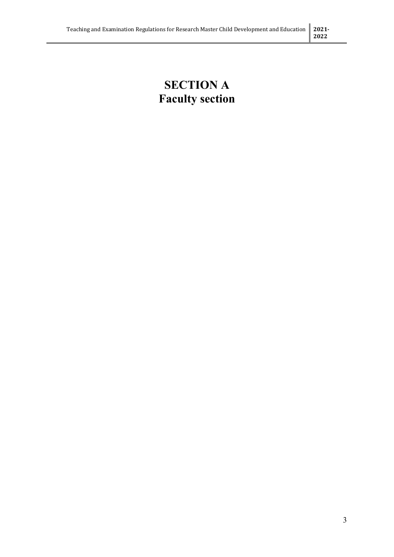## **SECTION A Faculty section**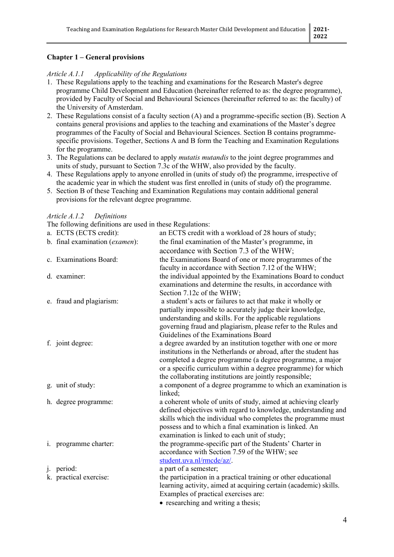## **Chapter 1 – General provisions**

#### *Article A.1.1 Applicability of the Regulations*

- 1. These Regulations apply to the teaching and examinations for the Research Master's degree programme Child Development and Education (hereinafter referred to as: the degree programme), provided by Faculty of Social and Behavioural Sciences (hereinafter referred to as: the faculty) of the University of Amsterdam.
- 2. These Regulations consist of a faculty section (A) and a programme-specific section (B). Section A contains general provisions and applies to the teaching and examinations of the Master's degree programmes of the Faculty of Social and Behavioural Sciences. Section B contains programmespecific provisions. Together, Sections A and B form the Teaching and Examination Regulations for the programme.
- 3. The Regulations can be declared to apply *mutatis mutandis* to the joint degree programmes and units of study, pursuant to Section 7.3c of the WHW, also provided by the faculty.
- 4. These Regulations apply to anyone enrolled in (units of study of) the programme, irrespective of the academic year in which the student was first enrolled in (units of study of) the programme.
- 5. Section B of these Teaching and Examination Regulations may contain additional general provisions for the relevant degree programme.

#### *Article A.1.2 Definitions*

The following definitions are used in these Regulations:

|    | The following definitions are used in these Regulations. |                                                                                                                                                         |
|----|----------------------------------------------------------|---------------------------------------------------------------------------------------------------------------------------------------------------------|
|    | a. ECTS (ECTS credit):                                   | an ECTS credit with a workload of 28 hours of study;                                                                                                    |
|    | b. final examination (examen):                           | the final examination of the Master's programme, in                                                                                                     |
|    |                                                          | accordance with Section 7.3 of the WHW;                                                                                                                 |
|    | c. Examinations Board:                                   | the Examinations Board of one or more programmes of the                                                                                                 |
|    |                                                          | faculty in accordance with Section 7.12 of the WHW;                                                                                                     |
|    | d. examiner:                                             | the individual appointed by the Examinations Board to conduct                                                                                           |
|    |                                                          | examinations and determine the results, in accordance with                                                                                              |
|    |                                                          | Section 7.12c of the WHW;                                                                                                                               |
|    | e. fraud and plagiarism:                                 | a student's acts or failures to act that make it wholly or                                                                                              |
|    |                                                          | partially impossible to accurately judge their knowledge,                                                                                               |
|    |                                                          | understanding and skills. For the applicable regulations                                                                                                |
|    |                                                          | governing fraud and plagiarism, please refer to the Rules and                                                                                           |
|    |                                                          | Guidelines of the Examinations Board                                                                                                                    |
|    | f. joint degree:                                         | a degree awarded by an institution together with one or more                                                                                            |
|    |                                                          | institutions in the Netherlands or abroad, after the student has                                                                                        |
|    |                                                          | completed a degree programme (a degree programme, a major                                                                                               |
|    |                                                          | or a specific curriculum within a degree programme) for which                                                                                           |
|    |                                                          | the collaborating institutions are jointly responsible;                                                                                                 |
|    | g. unit of study:                                        | a component of a degree programme to which an examination is                                                                                            |
|    |                                                          | linked;                                                                                                                                                 |
|    | h. degree programme:                                     | a coherent whole of units of study, aimed at achieving clearly                                                                                          |
|    |                                                          | defined objectives with regard to knowledge, understanding and                                                                                          |
|    |                                                          | skills which the individual who completes the programme must                                                                                            |
|    |                                                          | possess and to which a final examination is linked. An                                                                                                  |
|    |                                                          | examination is linked to each unit of study;                                                                                                            |
|    | i. programme charter:                                    | the programme-specific part of the Students' Charter in                                                                                                 |
|    |                                                          | accordance with Section 7.59 of the WHW; see                                                                                                            |
|    |                                                          | student.uva.nl/rmcde/az/.                                                                                                                               |
| 1. | period:                                                  | a part of a semester;                                                                                                                                   |
|    | k. practical exercise:                                   | the participation in a practical training or other educational                                                                                          |
|    |                                                          | learning activity, aimed at acquiring certain (academic) skills.                                                                                        |
|    |                                                          | Examples of practical exercises are:<br>the contract of the contract of the contract of the contract of the contract of the contract of the contract of |
|    |                                                          |                                                                                                                                                         |

• researching and writing a thesis;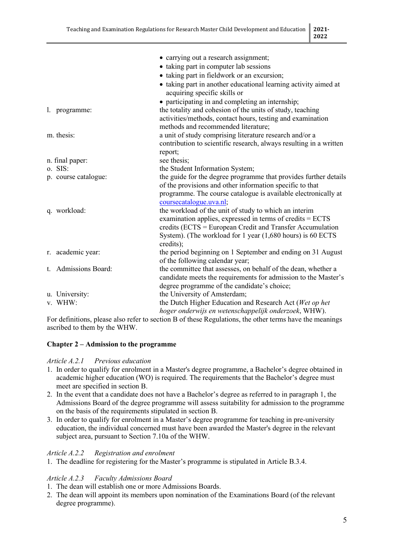|                      | • carrying out a research assignment;                                                           |
|----------------------|-------------------------------------------------------------------------------------------------|
|                      | • taking part in computer lab sessions                                                          |
|                      | • taking part in fieldwork or an excursion;                                                     |
|                      |                                                                                                 |
|                      | • taking part in another educational learning activity aimed at<br>acquiring specific skills or |
|                      | • participating in and completing an internship;                                                |
| l. programme:        | the totality and cohesion of the units of study, teaching                                       |
|                      | activities/methods, contact hours, testing and examination                                      |
|                      | methods and recommended literature;                                                             |
| m. thesis:           | a unit of study comprising literature research and/or a                                         |
|                      | contribution to scientific research, always resulting in a written                              |
|                      | report;                                                                                         |
| n. final paper:      | see thesis;                                                                                     |
| o. SIS:              | the Student Information System;                                                                 |
| p. course catalogue: | the guide for the degree programme that provides further details                                |
|                      | of the provisions and other information specific to that                                        |
|                      | programme. The course catalogue is available electronically at                                  |
|                      | coursecatalogue.uva.nl;                                                                         |
| q. workload:         | the workload of the unit of study to which an interim                                           |
|                      | examination applies, expressed in terms of credits = ECTS                                       |
|                      | credits (ECTS = European Credit and Transfer Accumulation                                       |
|                      |                                                                                                 |
|                      | System). (The workload for 1 year (1,680 hours) is 60 ECTS                                      |
|                      | credits);                                                                                       |
| r. academic year:    | the period beginning on 1 September and ending on 31 August                                     |
|                      | of the following calendar year;                                                                 |
| t. Admissions Board: | the committee that assesses, on behalf of the dean, whether a                                   |
|                      | candidate meets the requirements for admission to the Master's                                  |
|                      | degree programme of the candidate's choice;                                                     |
| u. University:       | the University of Amsterdam;                                                                    |
| v. WHW:              | the Dutch Higher Education and Research Act (Wet op het                                         |
|                      | hoger onderwijs en wetenschappelijk onderzoek, WHW).                                            |

For definitions, please also refer to section B of these Regulations, the other terms have the meanings ascribed to them by the WHW.

## **Chapter 2 – Admission to the programme**

## *Article A.2.1 Previous education*

- 1. In order to qualify for enrolment in a Master's degree programme, a Bachelor's degree obtained in academic higher education (WO) is required. The requirements that the Bachelor's degree must meet are specified in section B.
- 2. In the event that a candidate does not have a Bachelor's degree as referred to in paragraph 1, the Admissions Board of the degree programme will assess suitability for admission to the programme on the basis of the requirements stipulated in section B.
- 3. In order to qualify for enrolment in a Master's degree programme for teaching in pre-university education, the individual concerned must have been awarded the Master's degree in the relevant subject area, pursuant to Section 7.10a of the WHW.

## *Article A.2.2 Registration and enrolment*

1. The deadline for registering for the Master's programme is stipulated in Article B.3.4.

## *Article A.2.3 Faculty Admissions Board*

- 1. The dean will establish one or more Admissions Boards.
- 2. The dean will appoint its members upon nomination of the Examinations Board (of the relevant degree programme).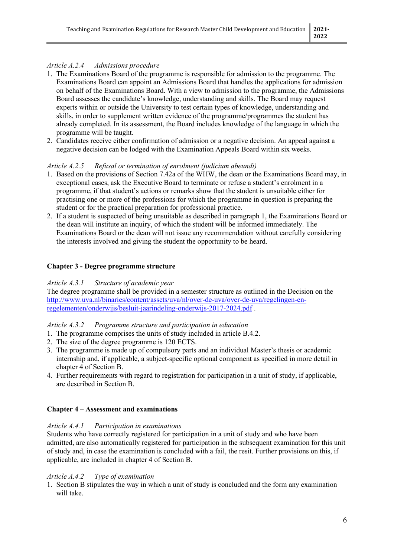## *Article A.2.4 Admissions procedure*

- 1. The Examinations Board of the programme is responsible for admission to the programme. The Examinations Board can appoint an Admissions Board that handles the applications for admission on behalf of the Examinations Board. With a view to admission to the programme, the Admissions Board assesses the candidate's knowledge, understanding and skills. The Board may request experts within or outside the University to test certain types of knowledge, understanding and skills, in order to supplement written evidence of the programme/programmes the student has already completed. In its assessment, the Board includes knowledge of the language in which the programme will be taught.
- 2. Candidates receive either confirmation of admission or a negative decision. An appeal against a negative decision can be lodged with the Examination Appeals Board within six weeks.

## *Article A.2.5 Refusal or termination of enrolment (judicium abeundi)*

- 1. Based on the provisions of Section 7.42a of the WHW, the dean or the Examinations Board may, in exceptional cases, ask the Executive Board to terminate or refuse a student's enrolment in a programme, if that student's actions or remarks show that the student is unsuitable either for practising one or more of the professions for which the programme in question is preparing the student or for the practical preparation for professional practice.
- 2. If a student is suspected of being unsuitable as described in paragraph 1, the Examinations Board or the dean will institute an inquiry, of which the student will be informed immediately. The Examinations Board or the dean will not issue any recommendation without carefully considering the interests involved and giving the student the opportunity to be heard.

## **Chapter 3 - Degree programme structure**

## *Article A.3.1 Structure of academic year*

The degree programme shall be provided in a semester structure as outlined in the Decision on the [http://www.uva.nl/binaries/content/assets/uva/nl/over-de-uva/over-de-uva/regelingen-en](http://www.uva.nl/binaries/content/assets/uva/nl/over-de-uva/over-de-uva/regelingen-en-regelementen/onderwijs/besluit-jaarindeling-onderwijs-2017-2024.pdf)[regelementen/onderwijs/besluit-jaarindeling-onderwijs-2017-2024.pdf](http://www.uva.nl/binaries/content/assets/uva/nl/over-de-uva/over-de-uva/regelingen-en-regelementen/onderwijs/besluit-jaarindeling-onderwijs-2017-2024.pdf) .

## *Article A.3.2 Programme structure and participation in education*

- 1. The programme comprises the units of study included in article B.4.2.
- 2. The size of the degree programme is 120 ECTS.
- 3. The programme is made up of compulsory parts and an individual Master's thesis or academic internship and, if applicable, a subject-specific optional component as specified in more detail in chapter 4 of Section B.
- 4. Further requirements with regard to registration for participation in a unit of study, if applicable, are described in Section B.

## **Chapter 4 – Assessment and examinations**

#### *Article A.4.1 Participation in examinations*

Students who have correctly registered for participation in a unit of study and who have been admitted, are also automatically registered for participation in the subsequent examination for this unit of study and, in case the examination is concluded with a fail, the resit. Further provisions on this, if applicable, are included in chapter 4 of Section B.

## *Article A.4.2 Type of examination*

1. Section B stipulates the way in which a unit of study is concluded and the form any examination will take.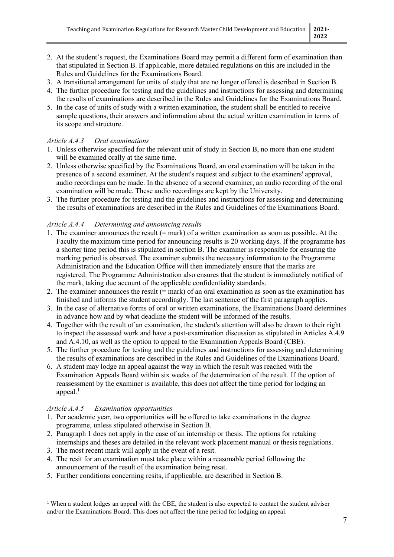- 2. At the student's request, the Examinations Board may permit a different form of examination than that stipulated in Section B. If applicable, more detailed regulations on this are included in the Rules and Guidelines for the Examinations Board.
- 3. A transitional arrangement for units of study that are no longer offered is described in Section B.
- 4. The further procedure for testing and the guidelines and instructions for assessing and determining the results of examinations are described in the Rules and Guidelines for the Examinations Board.
- 5. In the case of units of study with a written examination, the student shall be entitled to receive sample questions, their answers and information about the actual written examination in terms of its scope and structure.

#### *Article A.4.3 Oral examinations*

- 1. Unless otherwise specified for the relevant unit of study in Section B, no more than one student will be examined orally at the same time.
- 2. Unless otherwise specified by the Examinations Board, an oral examination will be taken in the presence of a second examiner. At the student's request and subject to the examiners' approval, audio recordings can be made. In the absence of a second examiner, an audio recording of the oral examination will be made. These audio recordings are kept by the University.
- 3. The further procedure for testing and the guidelines and instructions for assessing and determining the results of examinations are described in the Rules and Guidelines of the Examinations Board.

#### *Article A.4.4 Determining and announcing results*

- 1. The examiner announces the result (= mark) of a written examination as soon as possible. At the Faculty the maximum time period for announcing results is 20 working days. If the programme has a shorter time period this is stipulated in section B. The examiner is responsible for ensuring the marking period is observed. The examiner submits the necessary information to the Programme Administration and the Education Office will then immediately ensure that the marks are registered. The Programme Administration also ensures that the student is immediately notified of the mark, taking due account of the applicable confidentiality standards.
- 2. The examiner announces the result (= mark) of an oral examination as soon as the examination has finished and informs the student accordingly. The last sentence of the first paragraph applies.
- 3. In the case of alternative forms of oral or written examinations, the Examinations Board determines in advance how and by what deadline the student will be informed of the results.
- 4. Together with the result of an examination, the student's attention will also be drawn to their right to inspect the assessed work and have a post-examination discussion as stipulated in Articles A.4.9 and A.4.10, as well as the option to appeal to the Examination Appeals Board (CBE).
- 5. The further procedure for testing and the guidelines and instructions for assessing and determining the results of examinations are described in the Rules and Guidelines of the Examinations Board.
- 6. A student may lodge an appeal against the way in which the result was reached with the Examination Appeals Board within six weeks of the determination of the result. If the option of reassessment by the examiner is available, this does not affect the time period for lodging an appeal. $<sup>1</sup>$  $<sup>1</sup>$  $<sup>1</sup>$ </sup>

#### *Article A.4.5 Examination opportunities*

- 1. Per academic year, two opportunities will be offered to take examinations in the degree programme, unless stipulated otherwise in Section B.
- 2. Paragraph 1 does not apply in the case of an internship or thesis. The options for retaking internships and theses are detailed in the relevant work placement manual or thesis regulations.
- 3. The most recent mark will apply in the event of a resit.
- 4. The resit for an examination must take place within a reasonable period following the announcement of the result of the examination being resat.
- 5. Further conditions concerning resits, if applicable, are described in Section B.

<span id="page-7-0"></span><sup>&</sup>lt;sup>1</sup> When a student lodges an appeal with the CBE, the student is also expected to contact the student adviser and/or the Examinations Board. This does not affect the time period for lodging an appeal.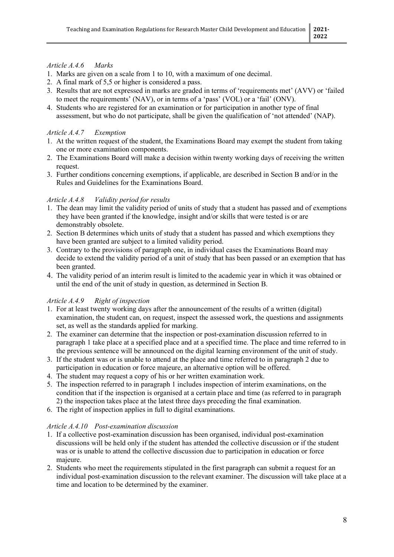## *Article A.4.6 Marks*

- 1. Marks are given on a scale from 1 to 10, with a maximum of one decimal.
- 2. A final mark of 5,5 or higher is considered a pass.
- 3. Results that are not expressed in marks are graded in terms of 'requirements met' (AVV) or 'failed to meet the requirements' (NAV), or in terms of a 'pass' (VOL) or a 'fail' (ONV).
- 4. Students who are registered for an examination or for participation in another type of final assessment, but who do not participate, shall be given the qualification of 'not attended' (NAP).

#### *Article A.4.7 Exemption*

- 1. At the written request of the student, the Examinations Board may exempt the student from taking one or more examination components.
- 2. The Examinations Board will make a decision within twenty working days of receiving the written request.
- 3. Further conditions concerning exemptions, if applicable, are described in Section B and/or in the Rules and Guidelines for the Examinations Board.

## *Article A.4.8 Validity period for results*

- 1. The dean may limit the validity period of units of study that a student has passed and of exemptions they have been granted if the knowledge, insight and/or skills that were tested is or are demonstrably obsolete.
- 2. Section B determines which units of study that a student has passed and which exemptions they have been granted are subject to a limited validity period.
- 3. Contrary to the provisions of paragraph one, in individual cases the Examinations Board may decide to extend the validity period of a unit of study that has been passed or an exemption that has been granted.
- 4. The validity period of an interim result is limited to the academic year in which it was obtained or until the end of the unit of study in question, as determined in Section B.

## *Article A.4.9 Right of inspection*

- 1. For at least twenty working days after the announcement of the results of a written (digital) examination, the student can, on request, inspect the assessed work, the questions and assignments set, as well as the standards applied for marking.
- 2. The examiner can determine that the inspection or post-examination discussion referred to in paragraph 1 take place at a specified place and at a specified time. The place and time referred to in the previous sentence will be announced on the digital learning environment of the unit of study.
- 3. If the student was or is unable to attend at the place and time referred to in paragraph 2 due to participation in education or force majeure, an alternative option will be offered.
- 4. The student may request a copy of his or her written examination work.
- 5. The inspection referred to in paragraph 1 includes inspection of interim examinations, on the condition that if the inspection is organised at a certain place and time (as referred to in paragraph 2) the inspection takes place at the latest three days preceding the final examination.
- 6. The right of inspection applies in full to digital examinations.

## *Article A.4.10 Post-examination discussion*

- 1. If a collective post-examination discussion has been organised, individual post-examination discussions will be held only if the student has attended the collective discussion or if the student was or is unable to attend the collective discussion due to participation in education or force majeure.
- 2. Students who meet the requirements stipulated in the first paragraph can submit a request for an individual post-examination discussion to the relevant examiner. The discussion will take place at a time and location to be determined by the examiner.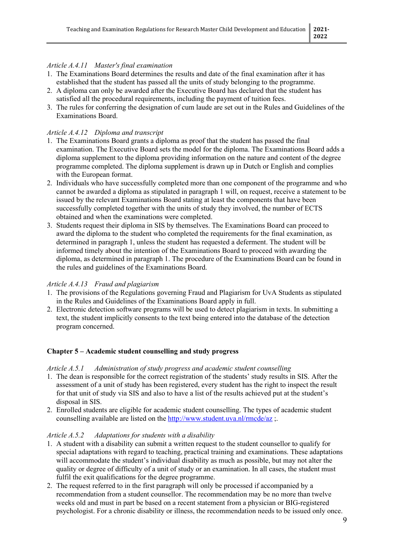## *Article A.4.11 Master's final examination*

- 1. The Examinations Board determines the results and date of the final examination after it has established that the student has passed all the units of study belonging to the programme.
- 2. A diploma can only be awarded after the Executive Board has declared that the student has satisfied all the procedural requirements, including the payment of tuition fees.
- 3. The rules for conferring the designation of cum laude are set out in the Rules and Guidelines of the Examinations Board.

## *Article A.4.12 Diploma and transcript*

- 1. The Examinations Board grants a diploma as proof that the student has passed the final examination. The Executive Board sets the model for the diploma. The Examinations Board adds a diploma supplement to the diploma providing information on the nature and content of the degree programme completed. The diploma supplement is drawn up in Dutch or English and complies with the European format.
- 2. Individuals who have successfully completed more than one component of the programme and who cannot be awarded a diploma as stipulated in paragraph 1 will, on request, receive a statement to be issued by the relevant Examinations Board stating at least the components that have been successfully completed together with the units of study they involved, the number of ECTS obtained and when the examinations were completed.
- 3. Students request their diploma in SIS by themselves. The Examinations Board can proceed to award the diploma to the student who completed the requirements for the final examination, as determined in paragraph 1, unless the student has requested a deferment. The student will be informed timely about the intention of the Examinations Board to proceed with awarding the diploma, as determined in paragraph 1. The procedure of the Examinations Board can be found in the rules and guidelines of the Examinations Board.

## *Article A.4.13 Fraud and plagiarism*

- 1. The provisions of the Regulations governing Fraud and Plagiarism for UvA Students as stipulated in the Rules and Guidelines of the Examinations Board apply in full.
- 2. Electronic detection software programs will be used to detect plagiarism in texts. In submitting a text, the student implicitly consents to the text being entered into the database of the detection program concerned.

## **Chapter 5 – Academic student counselling and study progress**

## *Article A.5.1 Administration of study progress and academic student counselling*

- 1. The dean is responsible for the correct registration of the students' study results in SIS. After the assessment of a unit of study has been registered, every student has the right to inspect the result for that unit of study via SIS and also to have a list of the results achieved put at the student's disposal in SIS.
- 2. Enrolled students are eligible for academic student counselling. The types of academic student counselling available are listed on the <http://www.student.uva.nl/rmcde/az> ;.

## *Article A.5.2 Adaptations for students with a disability*

- 1. A student with a disability can submit a written request to the student counsellor to qualify for special adaptations with regard to teaching, practical training and examinations. These adaptations will accommodate the student's individual disability as much as possible, but may not alter the quality or degree of difficulty of a unit of study or an examination. In all cases, the student must fulfil the exit qualifications for the degree programme.
- 2. The request referred to in the first paragraph will only be processed if accompanied by a recommendation from a student counsellor. The recommendation may be no more than twelve weeks old and must in part be based on a recent statement from a physician or BIG-registered psychologist. For a chronic disability or illness, the recommendation needs to be issued only once.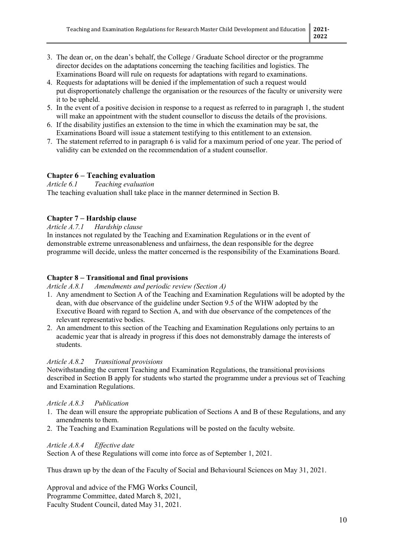- 3. The dean or, on the dean's behalf, the College / Graduate School director or the programme director decides on the adaptations concerning the teaching facilities and logistics. The Examinations Board will rule on requests for adaptations with regard to examinations.
- 4. Requests for adaptations will be denied if the implementation of such a request would put disproportionately challenge the organisation or the resources of the faculty or university were it to be upheld.
- 5. In the event of a positive decision in response to a request as referred to in paragraph 1, the student will make an appointment with the student counsellor to discuss the details of the provisions.
- 6. If the disability justifies an extension to the time in which the examination may be sat, the Examinations Board will issue a statement testifying to this entitlement to an extension.
- 7. The statement referred to in paragraph 6 is valid for a maximum period of one year. The period of validity can be extended on the recommendation of a student counsellor.

# **Chapter 6 – Teaching evaluation**<br>*Article 6.1* Teaching evaluation

*Article 6.1 Teaching evaluation*

The teaching evaluation shall take place in the manner determined in Section B.

## **Chapter 7 – Hardship clause**

#### *Article A.7.1 Hardship clause*

In instances not regulated by the Teaching and Examination Regulations or in the event of demonstrable extreme unreasonableness and unfairness, the dean responsible for the degree programme will decide, unless the matter concerned is the responsibility of the Examinations Board.

## **Chapter 8 – Transitional and final provisions**

#### *Article A.8.1 Amendments and periodic review (Section A)*

- 1. Any amendment to Section A of the Teaching and Examination Regulations will be adopted by the dean, with due observance of the guideline under Section 9.5 of the WHW adopted by the Executive Board with regard to Section A, and with due observance of the competences of the relevant representative bodies.
- 2. An amendment to this section of the Teaching and Examination Regulations only pertains to an academic year that is already in progress if this does not demonstrably damage the interests of students.

## *Article A.8.2 Transitional provisions*

Notwithstanding the current Teaching and Examination Regulations, the transitional provisions described in Section B apply for students who started the programme under a previous set of Teaching and Examination Regulations.

## *Article A.8.3 Publication*

- 1. The dean will ensure the appropriate publication of Sections A and B of these Regulations, and any amendments to them.
- 2. The Teaching and Examination Regulations will be posted on the faculty website.

#### *Article A.8.4 Effective date*

Section A of these Regulations will come into force as of September 1, 2021.

Thus drawn up by the dean of the Faculty of Social and Behavioural Sciences on May 31, 2021.

Approval and advice of the FMG Works Council, Programme Committee, dated March 8, 2021, Faculty Student Council, dated May 31, 2021.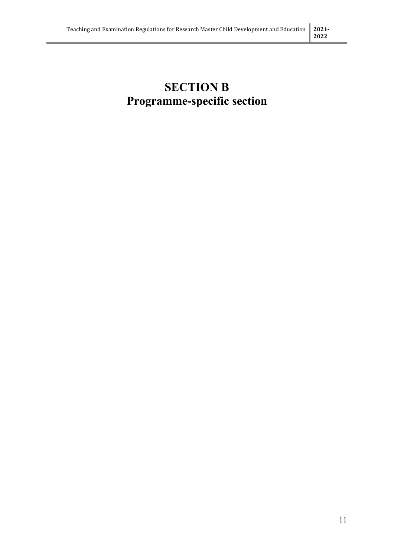# **SECTION B Programme-specific section**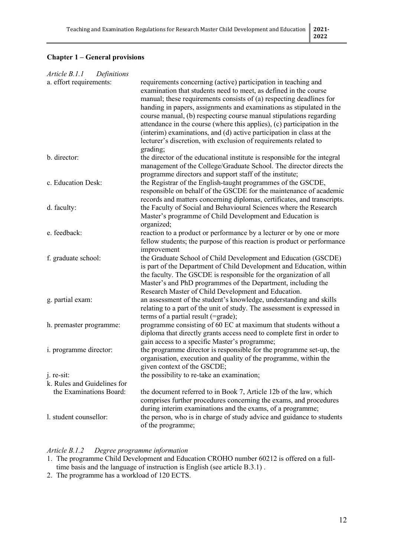## **Chapter 1 – General provisions**

| Definitions<br>Article B.1.1 |                                                                                                                                                                                                                                                                                                                                                                                                                                                                                                                                                                                              |
|------------------------------|----------------------------------------------------------------------------------------------------------------------------------------------------------------------------------------------------------------------------------------------------------------------------------------------------------------------------------------------------------------------------------------------------------------------------------------------------------------------------------------------------------------------------------------------------------------------------------------------|
| a. effort requirements:      | requirements concerning (active) participation in teaching and<br>examination that students need to meet, as defined in the course<br>manual; these requirements consists of $(a)$ respecting deadlines for<br>handing in papers, assignments and examinations as stipulated in the<br>course manual, (b) respecting course manual stipulations regarding<br>attendance in the course (where this applies), (c) participation in the<br>(interim) examinations, and (d) active participation in class at the<br>lecturer's discretion, with exclusion of requirements related to<br>grading; |
| b. director:                 | the director of the educational institute is responsible for the integral<br>management of the College/Graduate School. The director directs the<br>programme directors and support staff of the institute;                                                                                                                                                                                                                                                                                                                                                                                  |
| c. Education Desk:           | the Registrar of the English-taught programmes of the GSCDE,<br>responsible on behalf of the GSCDE for the maintenance of academic<br>records and matters concerning diplomas, certificates, and transcripts.                                                                                                                                                                                                                                                                                                                                                                                |
| d. faculty:                  | the Faculty of Social and Behavioural Sciences where the Research<br>Master's programme of Child Development and Education is<br>organized;                                                                                                                                                                                                                                                                                                                                                                                                                                                  |
| e. feedback:                 | reaction to a product or performance by a lecturer or by one or more<br>fellow students; the purpose of this reaction is product or performance<br>improvement                                                                                                                                                                                                                                                                                                                                                                                                                               |
| f. graduate school:          | the Graduate School of Child Development and Education (GSCDE)<br>is part of the Department of Child Development and Education, within<br>the faculty. The GSCDE is responsible for the organization of all<br>Master's and PhD programmes of the Department, including the<br>Research Master of Child Development and Education.                                                                                                                                                                                                                                                           |
| g. partial exam:             | an assessment of the student's knowledge, understanding and skills<br>relating to a part of the unit of study. The assessment is expressed in<br>terms of a partial result (=grade);                                                                                                                                                                                                                                                                                                                                                                                                         |
| h. premaster programme:      | programme consisting of 60 EC at maximum that students without a<br>diploma that directly grants access need to complete first in order to<br>gain access to a specific Master's programme;                                                                                                                                                                                                                                                                                                                                                                                                  |
| i. programme director:       | the programme director is responsible for the programme set-up, the<br>organisation, execution and quality of the programme, within the<br>given context of the GSCDE;                                                                                                                                                                                                                                                                                                                                                                                                                       |
| j. re-sit:                   | the possibility to re-take an examination;                                                                                                                                                                                                                                                                                                                                                                                                                                                                                                                                                   |
| k. Rules and Guidelines for  |                                                                                                                                                                                                                                                                                                                                                                                                                                                                                                                                                                                              |
| the Examinations Board:      | the document referred to in Book 7, Article 12b of the law, which<br>comprises further procedures concerning the exams, and procedures<br>during interim examinations and the exams, of a programme;                                                                                                                                                                                                                                                                                                                                                                                         |
| l. student counsellor:       | the person, who is in charge of study advice and guidance to students<br>of the programme;                                                                                                                                                                                                                                                                                                                                                                                                                                                                                                   |

## *Article B.1.2 Degree programme information*

- 1. The programme Child Development and Education CROHO number 60212 is offered on a fulltime basis and the language of instruction is English (see article B.3.1) .
- 2. The programme has a workload of 120 ECTS.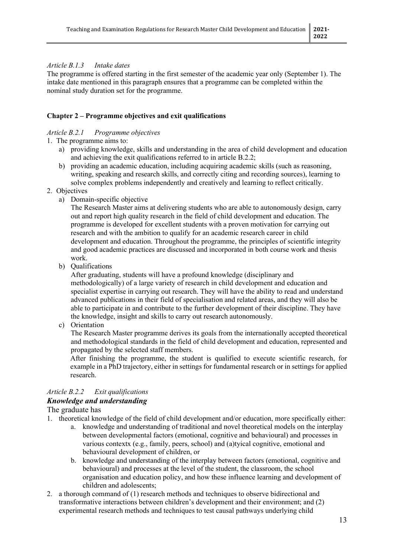## *Article B.1.3 Intake dates*

The programme is offered starting in the first semester of the academic year only (September 1). The intake date mentioned in this paragraph ensures that a programme can be completed within the nominal study duration set for the programme.

## **Chapter 2 – Programme objectives and exit qualifications**

#### *Article B.2.1 Programme objectives*

- 1. The programme aims to:
	- a) providing knowledge, skills and understanding in the area of child development and education and achieving the exit qualifications referred to in article B.2.2;
	- b) providing an academic education, including acquiring academic skills (such as reasoning, writing, speaking and research skills, and correctly citing and recording sources), learning to solve complex problems independently and creatively and learning to reflect critically.
- 2. Objectives
	- a) Domain-specific objective

The Research Master aims at delivering students who are able to autonomously design, carry out and report high quality research in the field of child development and education. The programme is developed for excellent students with a proven motivation for carrying out research and with the ambition to qualify for an academic research career in child development and education. Throughout the programme, the principles of scientific integrity and good academic practices are discussed and incorporated in both course work and thesis work.

b) Qualifications

After graduating, students will have a profound knowledge (disciplinary and methodologically) of a large variety of research in child development and education and specialist expertise in carrying out research. They will have the ability to read and understand advanced publications in their field of specialisation and related areas, and they will also be able to participate in and contribute to the further development of their discipline. They have the knowledge, insight and skills to carry out research autonomously.

c) Orientation

The Research Master programme derives its goals from the internationally accepted theoretical and methodological standards in the field of child development and education, represented and propagated by the selected staff members.

After finishing the programme, the student is qualified to execute scientific research, for example in a PhD trajectory, either in settings for fundamental research or in settings for applied research.

#### *Article B.2.2 Exit qualifications Knowledge and understanding*

The graduate has

- 1. theoretical knowledge of the field of child development and/or education, more specifically either:
	- a. knowledge and understanding of traditional and novel theoretical models on the interplay between developmental factors (emotional, cognitive and behavioural) and processes in various contextx (e.g., family, peers, school) and (a)tyical cognitive, emotional and behavioural development of children, or
	- b. knowledge and understanding of the interplay between factors (emotional, cognitive and behavioural) and processes at the level of the student, the classroom, the school organisation and education policy, and how these influence learning and development of children and adolescents;
- 2. a thorough command of (1) research methods and techniques to observe bidirectional and transformative interactions between children's development and their environment; and (2) experimental research methods and techniques to test causal pathways underlying child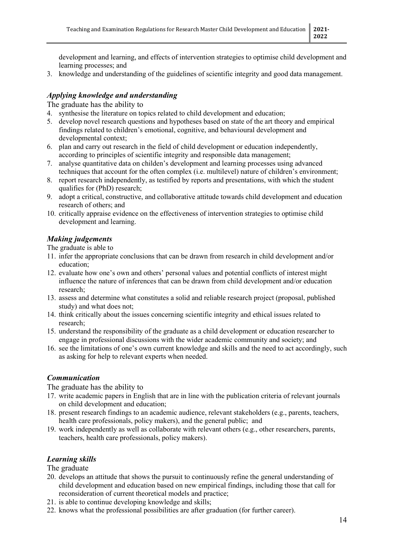development and learning, and effects of intervention strategies to optimise child development and learning processes; and

3. knowledge and understanding of the guidelines of scientific integrity and good data management.

## *Applying knowledge and understanding*

The graduate has the ability to

- 4. synthesise the literature on topics related to child development and education;
- 5. develop novel research questions and hypotheses based on state of the art theory and empirical findings related to children's emotional, cognitive, and behavioural development and developmental context;
- 6. plan and carry out research in the field of child development or education independently, according to principles of scientific integrity and responsible data management;
- 7. analyse quantitative data on childen's development and learning processes using advanced techniques that account for the often complex (i.e. multilevel) nature of children's environment;
- 8. report research independently, as testified by reports and presentations, with which the student qualifies for (PhD) research;
- 9. adopt a critical, constructive, and collaborative attitude towards child development and education research of others; and
- 10. critically appraise evidence on the effectiveness of intervention strategies to optimise child development and learning.

## *Making judgements*

The graduate is able to

- 11. infer the appropriate conclusions that can be drawn from research in child development and/or education;
- 12. evaluate how one's own and others' personal values and potential conflicts of interest might influence the nature of inferences that can be drawn from child development and/or education research;
- 13. assess and determine what constitutes a solid and reliable research project (proposal, published study) and what does not;
- 14. think critically about the issues concerning scientific integrity and ethical issues related to research;
- 15. understand the responsibility of the graduate as a child development or education researcher to engage in professional discussions with the wider academic community and society; and
- 16. see the limitations of one's own current knowledge and skills and the need to act accordingly, such as asking for help to relevant experts when needed.

## *Communication*

The graduate has the ability to

- 17. write academic papers in English that are in line with the publication criteria of relevant journals on child development and education;
- 18. present research findings to an academic audience, relevant stakeholders (e.g., parents, teachers, health care professionals, policy makers), and the general public; and
- 19. work independently as well as collaborate with relevant others (e.g., other researchers, parents, teachers, health care professionals, policy makers).

## *Learning skills*

The graduate

- 20. develops an attitude that shows the pursuit to continuously refine the general understanding of child development and education based on new empirical findings, including those that call for reconsideration of current theoretical models and practice;
- 21. is able to continue developing knowledge and skills;
- 22. knows what the professional possibilities are after graduation (for further career).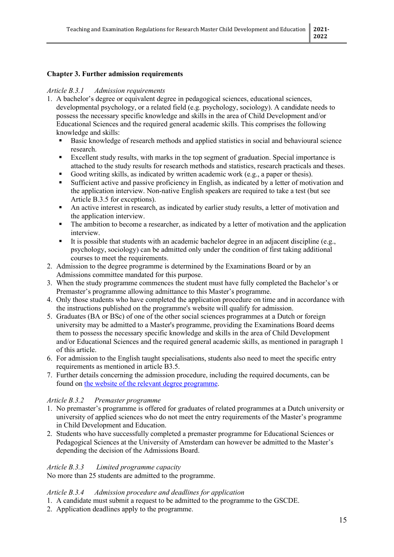## **Chapter 3. Further admission requirements**

#### *Article B.3.1 Admission requirements*

- 1. A bachelor's degree or equivalent degree in pedagogical sciences, educational sciences, developmental psychology, or a related field (e.g. psychology, sociology). A candidate needs to possess the necessary specific knowledge and skills in the area of Child Development and/or Educational Sciences and the required general academic skills. This comprises the following knowledge and skills:
	- Basic knowledge of research methods and applied statistics in social and behavioural science research.
	- Excellent study results, with marks in the top segment of graduation. Special importance is attached to the study results for research methods and statistics, research practicals and theses.
	- Good writing skills, as indicated by written academic work (e.g., a paper or thesis).
	- Sufficient active and passive proficiency in English, as indicated by a letter of motivation and the application interview. Non-native English speakers are required to take a test (but see Article B.3.5 for exceptions).
	- An active interest in research, as indicated by earlier study results, a letter of motivation and the application interview.
	- The ambition to become a researcher, as indicated by a letter of motivation and the application interview.
	- It is possible that students with an academic bachelor degree in an adjacent discipline (e.g., psychology, sociology) can be admitted only under the condition of first taking additional courses to meet the requirements.
- 2. Admission to the degree programme is determined by the Examinations Board or by an Admissions committee mandated for this purpose.
- 3. When the study programme commences the student must have fully completed the Bachelor's or Premaster's programme allowing admittance to this Master's programme.
- 4. Only those students who have completed the application procedure on time and in accordance with the instructions published on the programme's website will qualify for admission.
- 5. Graduates (BA or BSc) of one of the other social sciences programmes at a Dutch or foreign university may be admitted to a Master's programme, providing the Examinations Board deems them to possess the necessary specific knowledge and skills in the area of Child Development and/or Educational Sciences and the required general academic skills, as mentioned in paragraph 1 of this article.
- 6. For admission to the English taught specialisations, students also need to meet the specific entry requirements as mentioned in article B3.5.
- 7. Further details concerning the admission procedure, including the required documents, can be found on [the website of the relevant degree programme.](https://www.uva.nl/en/programmes/research-masters/child-development-and-education-research/application-and-admission/application-and-admission.html?origin=5BOaRAofTjCccATraJp2XA)

## *Article B.3.2 Premaster programme*

- 1. No premaster's programme is offered for graduates of related programmes at a Dutch university or university of applied sciences who do not meet the entry requirements of the Master's programme in Child Development and Education.
- 2. Students who have successfully completed a premaster programme for Educational Sciences or Pedagogical Sciences at the University of Amsterdam can however be admitted to the Master's depending the decision of the Admissions Board.

#### *Article B.3.3 Limited programme capacity*

No more than 25 students are admitted to the programme.

#### *Article B.3.4 Admission procedure and deadlines for application*

- 1. A candidate must submit a request to be admitted to the programme to the GSCDE.
- 2. Application deadlines apply to the programme.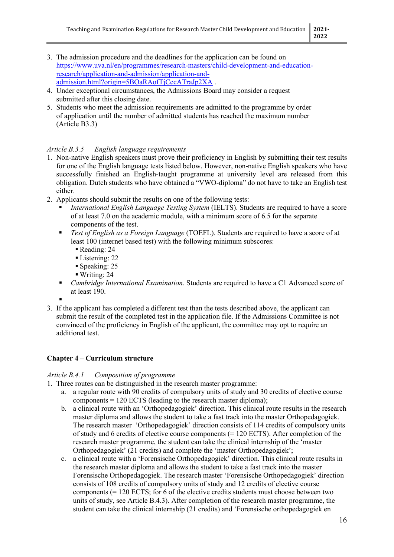- 3. The admission procedure and the deadlines for the application can be found on [https://www.uva.nl/en/programmes/research-masters/child-development-and-education](https://www.uva.nl/en/programmes/research-masters/child-development-and-education-research/application-and-admission/application-and-admission.html?origin=5BOaRAofTjCccATraJp2XA)[research/application-and-admission/application-and](https://www.uva.nl/en/programmes/research-masters/child-development-and-education-research/application-and-admission/application-and-admission.html?origin=5BOaRAofTjCccATraJp2XA)[admission.html?origin=5BOaRAofTjCccATraJp2XA](https://www.uva.nl/en/programmes/research-masters/child-development-and-education-research/application-and-admission/application-and-admission.html?origin=5BOaRAofTjCccATraJp2XA).
- 4. Under exceptional circumstances, the Admissions Board may consider a request submitted after this closing date.
- 5. Students who meet the admission requirements are admitted to the programme by order of application until the number of admitted students has reached the maximum number (Article B3.3)

## *Article B.3.5 English language requirements*

- 1. Non-native English speakers must prove their proficiency in English by submitting their test results for one of the English language tests listed below. However, non-native English speakers who have successfully finished an English-taught programme at university level are released from this obligation. Dutch students who have obtained a "VWO-diploma" do not have to take an English test either.
- 2. Applicants should submit the results on one of the following tests:
	- *International English Language Testing System* (IELTS). Students are required to have a score of at least 7.0 on the academic module, with a minimum score of 6.5 for the separate components of the test.
	- *Test of English as a Foreign Language* (TOEFL). Students are required to have a score of at least 100 (internet based test) with the following minimum subscores:
		- Reading: 24
		- Listening: 22
		- Speaking: 25
		- Writing: 24
	- *Cambridge International Examination.* Students are required to have a C1 Advanced score of at least 190.

.

3. If the applicant has completed a different test than the tests described above, the applicant can submit the result of the completed test in the application file. If the Admissions Committee is not convinced of the proficiency in English of the applicant, the committee may opt to require an additional test.

## **Chapter 4 – Curriculum structure**

## *Article B.4.1 Composition of programme*

1. Three routes can be distinguished in the research master programme:

- a. a regular route with 90 credits of compulsory units of study and 30 credits of elective course components = 120 ECTS (leading to the research master diploma);
- b. a clinical route with an 'Orthopedagogiek' direction. This clinical route results in the research master diploma and allows the student to take a fast track into the master Orthopedagogiek. The research master 'Orthopedagogiek' direction consists of 114 credits of compulsory units of study and 6 credits of elective course components (= 120 ECTS). After completion of the research master programme, the student can take the clinical internship of the 'master Orthopedagogiek' (21 credits) and complete the 'master Orthopedagogiek';
- c. a clinical route with a 'Forensische Orthopedagogiek' direction. This clinical route results in the research master diploma and allows the student to take a fast track into the master Forensische Orthopedagogiek. The research master 'Forensische Orthopedagogiek' direction consists of 108 credits of compulsory units of study and 12 credits of elective course components  $(= 120$  ECTS; for 6 of the elective credits students must choose between two units of study, see Article B.4.3). After completion of the research master programme, the student can take the clinical internship (21 credits) and 'Forensische orthopedagogiek en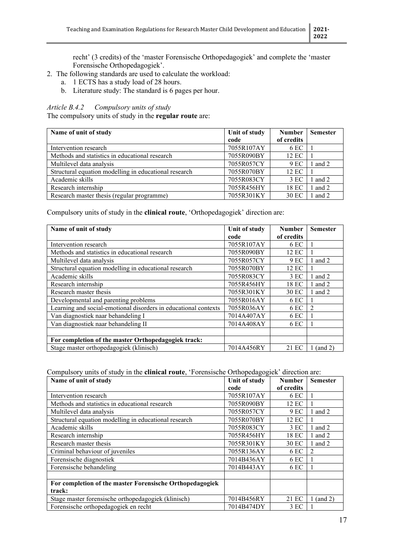recht' (3 credits) of the 'master Forensische Orthopedagogiek' and complete the 'master Forensische Orthopedagogiek'.

- 2. The following standards are used to calculate the workload:
	- a. 1 ECTS has a study load of 28 hours.
	- b. Literature study: The standard is 6 pages per hour.

## *Article B.4.2 Compulsory units of study*

The compulsory units of study in the **regular route** are:

| Name of unit of study                                 | Unit of study | <b>Number</b> | <b>Semester</b> |
|-------------------------------------------------------|---------------|---------------|-----------------|
|                                                       | code          | of credits    |                 |
| Intervention research                                 | 7055R107AY    | 6 EC          |                 |
| Methods and statistics in educational research        | 7055R090BY    | 12 EC         |                 |
| Multilevel data analysis                              | 7055R057CY    | 9 EC          | $1$ and $2$     |
| Structural equation modelling in educational research | 7055R070BY    | 12 EC         |                 |
| Academic skills                                       | 7055R083CY    | 3 EC          | 1 and 2         |
| Research internship                                   | 7055R456HY    | 18 EC         | $1$ and $2$     |
| Research master thesis (regular programme)            | 7055R301KY    | 30 EC         | $1$ and $2$     |

Compulsory units of study in the **clinical route**, 'Orthopedagogiek' direction are:

| Name of unit of study                                           | Unit of study | <b>Number</b> | <b>Semester</b> |
|-----------------------------------------------------------------|---------------|---------------|-----------------|
|                                                                 | code          | of credits    |                 |
| Intervention research                                           | 7055R107AY    | 6 EC          |                 |
| Methods and statistics in educational research                  | 7055R090BY    | 12 EC         |                 |
| Multilevel data analysis                                        | 7055R057CY    | 9 EC          | 1 and 2         |
| Structural equation modelling in educational research           | 7055R070BY    | 12 EC         |                 |
| Academic skills                                                 | 7055R083CY    | 3EC           | 1 and 2         |
| Research internship                                             | 7055R456HY    | 18 EC         | 1 and $2$       |
| Research master thesis                                          | 7055R301KY    | 30 EC         | 1 and 2         |
| Developmental and parenting problems                            | 7055R016AY    | 6 EC          |                 |
| Learning and social-emotional disorders in educational contexts | 7055R036AY    | 6 EC          | $\mathcal{D}$   |
| Van diagnostiek naar behandeling I                              | 7014A407AY    | 6 EC          |                 |
| Van diagnostiek naar behandeling II                             | 7014A408AY    | 6 EC          |                 |
|                                                                 |               |               |                 |
| For completion of the master Orthopedagogiek track:             |               |               |                 |
| Stage master orthopedagogiek (klinisch)                         | 7014A456RY    | 21 EC         | 1 (and 2)       |

Compulsory units of study in the **clinical route**, 'Forensische Orthopedagogiek' direction are:

| Name of unit of study                                    | Unit of study | <b>Number</b> | <b>Semester</b> |
|----------------------------------------------------------|---------------|---------------|-----------------|
|                                                          | code          | of credits    |                 |
| Intervention research                                    | 7055R107AY    | 6 EC          |                 |
| Methods and statistics in educational research           | 7055R090BY    | 12 EC         |                 |
| Multilevel data analysis                                 | 7055R057CY    | 9 EC          | 1 and 2         |
| Structural equation modelling in educational research    | 7055R070BY    | 12 EC         |                 |
| Academic skills                                          | 7055R083CY    | 3 EC          | 1 and 2         |
| Research internship                                      | 7055R456HY    | 18 EC         | 1 and 2         |
| Research master thesis                                   | 7055R301KY    | 30 EC         | 1 and 2         |
| Criminal behaviour of juveniles                          | 7055R136AY    | 6 EC          | $\mathfrak{D}$  |
| Forensische diagnostiek                                  | 7014B436AY    | 6 EC          |                 |
| Forensische behandeling                                  | 7014B443AY    | 6 EC          |                 |
|                                                          |               |               |                 |
| For completion of the master Forensische Orthopedagogiek |               |               |                 |
| track:                                                   |               |               |                 |
| Stage master forensische orthopedagogiek (klinisch)      | 7014B456RY    | 21 EC         | $1$ (and $2$ )  |
| Forensische orthopedagogiek en recht                     | 7014B474DY    | 3EC           |                 |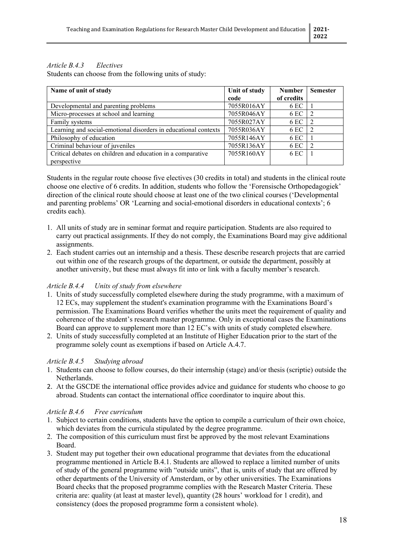## *Article B.4.3 Electives*

Students can choose from the following units of study:

| Name of unit of study                                           | Unit of study | <b>Number</b> | <b>Semester</b> |
|-----------------------------------------------------------------|---------------|---------------|-----------------|
|                                                                 | code          | of credits    |                 |
| Developmental and parenting problems                            | 7055R016AY    | 6 EC          |                 |
| Micro-processes at school and learning                          | 7055R046AY    | 6 EC          |                 |
| Family systems                                                  | 7055R027AY    | 6 EC          |                 |
| Learning and social-emotional disorders in educational contexts | 7055R036AY    | 6 EC          | $\overline{2}$  |
| Philosophy of education                                         | 7055R146AY    | 6 EC          |                 |
| Criminal behaviour of juveniles                                 | 7055R136AY    | 6 EC          |                 |
| Critical debates on children and education in a comparative     | 7055R160AY    | 6 EC          |                 |
| perspective                                                     |               |               |                 |

Students in the regular route choose five electives (30 credits in total) and students in the clinical route choose one elective of 6 credits. In addition, students who follow the 'Forensische Orthopedagogiek' direction of the clinical route should choose at least one of the two clinical courses ('Developmental and parenting problems' OR 'Learning and social-emotional disorders in educational contexts'; 6 credits each).

- 1. All units of study are in seminar format and require participation. Students are also required to carry out practical assignments. If they do not comply, the Examinations Board may give additional assignments.
- 2. Each student carries out an internship and a thesis. These describe research projects that are carried out within one of the research groups of the department, or outside the department, possibly at another university, but these must always fit into or link with a faculty member's research.

## *Article B.4.4 Units of study from elsewhere*

- 1. Units of study successfully completed elsewhere during the study programme, with a maximum of 12 ECs, may supplement the student's examination programme with the Examinations Board's permission. The Examinations Board verifies whether the units meet the requirement of quality and coherence of the student's research master programme. Only in exceptional cases the Examinations Board can approve to supplement more than 12 EC's with units of study completed elsewhere.
- 2. Units of study successfully completed at an Institute of Higher Education prior to the start of the programme solely count as exemptions if based on Article A.4.7.

## *Article B.4.5 Studying abroad*

- 1. Students can choose to follow courses, do their internship (stage) and/or thesis (scriptie) outside the Netherlands.
- 2. At the GSCDE the international office provides advice and guidance for students who choose to go abroad. Students can contact the international office coordinator to inquire about this.

## *Article B.4.6 Free curriculum*

- 1. Subject to certain conditions, students have the option to compile a curriculum of their own choice, which deviates from the curricula stipulated by the degree programme.
- 2. The composition of this curriculum must first be approved by the most relevant Examinations Board.
- 3. Student may put together their own educational programme that deviates from the educational programme mentioned in Article B.4.1. Students are allowed to replace a limited number of units of study of the general programme with "outside units", that is, units of study that are offered by other departments of the University of Amsterdam, or by other universities. The Examinations Board checks that the proposed programme complies with the Research Master Criteria. These criteria are: quality (at least at master level), quantity (28 hours' workload for 1 credit), and consistency (does the proposed programme form a consistent whole).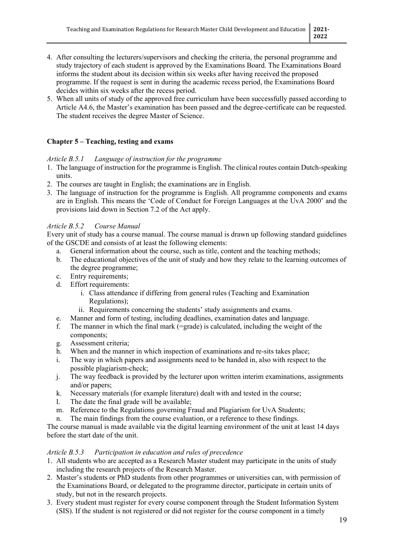- 4. After consulting the lecturers/supervisors and checking the criteria, the personal programme and study trajectory of each student is approved by the Examinations Board. The Examinations Board informs the student about its decision within six weeks after having received the proposed programme. If the request is sent in during the academic recess period, the Examinations Board decides within six weeks after the recess period.
- 5. When all units of study of the approved free curriculum have been successfully passed according to Article A4.6, the Master's examination has been passed and the degree-certificate can be requested. The student receives the degree Master of Science.

## **Chapter 5 – Teaching, testing and exams**

## *Article B.5.1 Language of instruction for the programme*

- 1. The language of instruction for the programme is English. The clinical routes contain Dutch-speaking units.
- 2. The courses are taught in English; the examinations are in English.
- 3. The language of instruction for the programme is English. All programme components and exams are in English. This means the 'Code of Conduct for Foreign Languages at the UvA 2000' and the provisions laid down in Section 7.2 of the Act apply.

## *Article B.5.2 Course Manual*

Every unit of study has a course manual. The course manual is drawn up following standard guidelines of the GSCDE and consists of at least the following elements:

- a. General information about the course, such as title, content and the teaching methods;
- b. The educational objectives of the unit of study and how they relate to the learning outcomes of the degree programme;
- c. Entry requirements;
- d. Effort requirements:
	- i. Class attendance if differing from general rules (Teaching and Examination Regulations);
	- ii. Requirements concerning the students' study assignments and exams.
- e. Manner and form of testing, including deadlines, examination dates and language.
- f. The manner in which the final mark (=grade) is calculated, including the weight of the components;
- g. Assessment criteria;
- h. When and the manner in which inspection of examinations and re-sits takes place;
- i. The way in which papers and assignments need to be handed in, also with respect to the possible plagiarism-check;
- j. The way feedback is provided by the lecturer upon written interim examinations, assignments and/or papers;
- k. Necessary materials (for example literature) dealt with and tested in the course;
- l. The date the final grade will be available;
- m. Reference to the Regulations governing Fraud and Plagiarism for UvA Students;
- n. The main findings from the course evaluation, or a reference to these findings.

The course manual is made available via the digital learning environment of the unit at least 14 days before the start date of the unit.

## *Article B.5.3 Participation in education and rules of precedence*

- 1. All students who are accepted as a Research Master student may participate in the units of study including the research projects of the Research Master.
- 2. Master's students or PhD students from other programmes or universities can, with permission of the Examinations Board, or delegated to the programme director, participate in certain units of study, but not in the research projects.
- 3. Every student must register for every course component through the Student Information System (SIS). If the student is not registered or did not register for the course component in a timely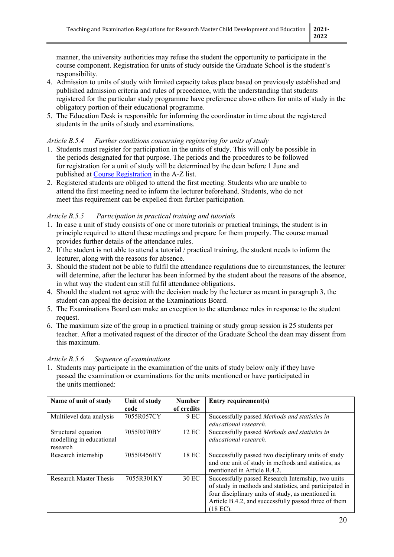manner, the university authorities may refuse the student the opportunity to participate in the course component. Registration for units of study outside the Graduate School is the student's responsibility.

- 4. Admission to units of study with limited capacity takes place based on previously established and published admission criteria and rules of precedence, with the understanding that students registered for the particular study programme have preference above others for units of study in the obligatory portion of their educational programme.
- 5. The Education Desk is responsible for informing the coordinator in time about the registered students in the units of study and examinations.

## *Article B.5.4 Further conditions concerning registering for units of study*

- 1. Students must register for participation in the units of study. This will only be possible in the periods designated for that purpose. The periods and the procedures to be followed for registration for a unit of study will be determined by the dean before 1 June and published at [Course Registration](https://student.uva.nl/cde/content/az/course-registration/course-registration.html?origin=iuQ%2Bqq6tSQm%2FiTzmAanWzQ) in the A-Z list.
- 2. Registered students are obliged to attend the first meeting. Students who are unable to attend the first meeting need to inform the lecturer beforehand. Students, who do not meet this requirement can be expelled from further participation.

#### *Article B.5.5 Participation in practical training and tutorials*

- 1. In case a unit of study consists of one or more tutorials or practical trainings, the student is in principle required to attend these meetings and prepare for them properly. The course manual provides further details of the attendance rules.
- 2. If the student is not able to attend a tutorial / practical training, the student needs to inform the lecturer, along with the reasons for absence.
- 3. Should the student not be able to fulfil the attendance regulations due to circumstances, the lecturer will determine, after the lecturer has been informed by the student about the reasons of the absence, in what way the student can still fulfil attendance obligations.
- 4. Should the student not agree with the decision made by the lecturer as meant in paragraph 3, the student can appeal the decision at the Examinations Board.
- 5. The Examinations Board can make an exception to the attendance rules in response to the student request.
- 6. The maximum size of the group in a practical training or study group session is 25 students per teacher. After a motivated request of the director of the Graduate School the dean may dissent from this maximum.

#### *Article B.5.6 Sequence of examinations*

1. Students may participate in the examination of the units of study below only if they have passed the examination or examinations for the units mentioned or have participated in the units mentioned:

| Name of unit of study         | Unit of study | <b>Number</b> | Entry requirement(s)                                    |
|-------------------------------|---------------|---------------|---------------------------------------------------------|
|                               | code          | of credits    |                                                         |
| Multilevel data analysis      | 7055R057CY    | 9 EC          | Successfully passed Methods and statistics in           |
|                               |               |               | educational research.                                   |
| Structural equation           | 7055R070BY    | 12 EC         | Successfully passed Methods and statistics in           |
| modelling in educational      |               |               | educational research.                                   |
| research                      |               |               |                                                         |
| Research internship           | 7055R456HY    | 18 EC         | Successfully passed two disciplinary units of study     |
|                               |               |               | and one unit of study in methods and statistics, as     |
|                               |               |               | mentioned in Article B.4.2.                             |
| <b>Research Master Thesis</b> | 7055R301KY    | 30 EC         | Successfully passed Research Internship, two units      |
|                               |               |               | of study in methods and statistics, and participated in |
|                               |               |               | four disciplinary units of study, as mentioned in       |
|                               |               |               | Article B.4.2, and successfully passed three of them    |
|                               |               |               | [18 EC).                                                |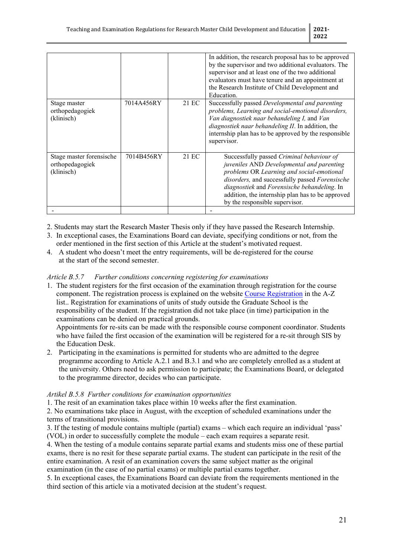|                                                           |            |       | In addition, the research proposal has to be approved<br>by the supervisor and two additional evaluators. The<br>supervisor and at least one of the two additional<br>evaluators must have tenure and an appointment at<br>the Research Institute of Child Development and<br>Education.                                   |
|-----------------------------------------------------------|------------|-------|----------------------------------------------------------------------------------------------------------------------------------------------------------------------------------------------------------------------------------------------------------------------------------------------------------------------------|
| Stage master<br>orthopedagogiek<br>(klinisch)             | 7014A456RY | 21 EC | Successfully passed Developmental and parenting<br>problems, Learning and social-emotional disorders,<br>Van diagnostiek naar behandeling I, and Van<br>diagnostiek naar behandeling II. In addition, the<br>internship plan has to be approved by the responsible<br>supervisor.                                          |
| Stage master forensische<br>orthopedagogiek<br>(klinisch) | 7014B456RY | 21 EC | Successfully passed Criminal behaviour of<br>juveniles AND Developmental and parenting<br>problems OR Learning and social-emotional<br>disorders, and successfully passed Forensische<br>diagnostiek and Forensische behandeling. In<br>addition, the internship plan has to be approved<br>by the responsible supervisor. |
|                                                           |            |       |                                                                                                                                                                                                                                                                                                                            |

- 2. Students may start the Research Master Thesis only if they have passed the Research Internship.
- 3. In exceptional cases, the Examinations Board can deviate, specifying conditions or not, from the order mentioned in the first section of this Article at the student's motivated request.
- 4. A student who doesn't meet the entry requirements, will be de-registered for the course at the start of the second semester.

#### *Article B.5.7 Further conditions concerning registering for examinations*

1. The student registers for the first occasion of the examination through registration for the course component. The registration process is explained on the website [Course Registration](https://student.uva.nl/cde/content/az/course-registration/course-registration.html?origin=iuQ%2Bqq6tSQm%2FiTzmAanWzQ) in the A-Z list.. Registration for examinations of units of study outside the Graduate School is the responsibility of the student. If the registration did not take place (in time) participation in the examinations can be denied on practical grounds.

Appointments for re-sits can be made with the responsible course component coordinator. Students who have failed the first occasion of the examination will be registered for a re-sit through SIS by the Education Desk.

2. Participating in the examinations is permitted for students who are admitted to the degree programme according to Article A.2.1 and B.3.1 and who are completely enrolled as a student at the university. Others need to ask permission to participate; the Examinations Board, or delegated to the programme director, decides who can participate.

#### *Artikel B.5.8 Further conditions for examination opportunities*

1. The resit of an examination takes place within 10 weeks after the first examination.

2. No examinations take place in August, with the exception of scheduled examinations under the terms of transitional provisions.

3. If the testing of module contains multiple (partial) exams – which each require an individual 'pass' (VOL) in order to successfully complete the module – each exam requires a separate resit.

4. When the testing of a module contains separate partial exams and students miss one of these partial exams, there is no resit for these separate partial exams. The student can participate in the resit of the entire examination. A resit of an examination covers the same subject matter as the original examination (in the case of no partial exams) or multiple partial exams together.

5. In exceptional cases, the Examinations Board can deviate from the requirements mentioned in the third section of this article via a motivated decision at the student's request.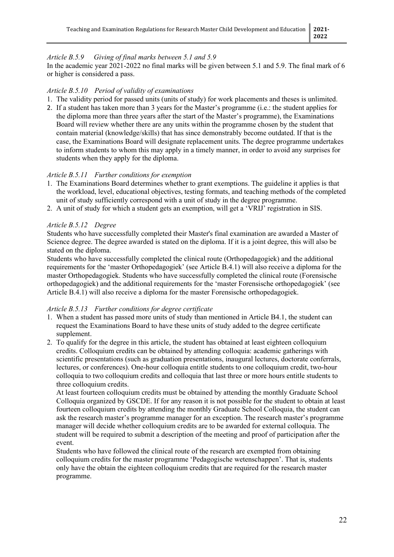## *Article B.5.9 Giving of final marks between 5.1 and 5.9*

In the academic year 2021-2022 no final marks will be given between 5.1 and 5.9. The final mark of 6 or higher is considered a pass.

#### *Article B.5.10 Period of validity of examinations*

- 1. The validity period for passed units (units of study) for work placements and theses is unlimited.
- 2. If a student has taken more than 3 years for the Master's programme (i.e.: the student applies for the diploma more than three years after the start of the Master's programme), the Examinations Board will review whether there are any units within the programme chosen by the student that contain material (knowledge/skills) that has since demonstrably become outdated. If that is the case, the Examinations Board will designate replacement units. The degree programme undertakes to inform students to whom this may apply in a timely manner, in order to avoid any surprises for students when they apply for the diploma.

#### *Article B.5.11 Further conditions for exemption*

- 1. The Examinations Board determines whether to grant exemptions. The guideline it applies is that the workload, level, educational objectives, testing formats, and teaching methods of the completed unit of study sufficiently correspond with a unit of study in the degree programme.
- 2. A unit of study for which a student gets an exemption, will get a 'VRIJ' registration in SIS.

#### *Article B.5.12 Degree*

Students who have successfully completed their Master's final examination are awarded a Master of Science degree. The degree awarded is stated on the diploma. If it is a joint degree, this will also be stated on the diploma.

Students who have successfully completed the clinical route (Orthopedagogiek) and the additional requirements for the 'master Orthopedagogiek' (see Article B.4.1) will also receive a diploma for the master Orthopedagogiek. Students who have successfully completed the clinical route (Forensische orthopedagogiek) and the additional requirements for the 'master Forensische orthopedagogiek' (see Article B.4.1) will also receive a diploma for the master Forensische orthopedagogiek.

#### *Article B.5.13 Further conditions for degree certificate*

- 1. When a student has passed more units of study than mentioned in Article B4.1, the student can request the Examinations Board to have these units of study added to the degree certificate supplement.
- 2. To qualify for the degree in this article, the student has obtained at least eighteen colloquium credits. Colloquium credits can be obtained by attending colloquia: academic gatherings with scientific presentations (such as graduation presentations, inaugural lectures, doctorate conferrals, lectures, or conferences). One-hour colloquia entitle students to one colloquium credit, two-hour colloquia to two colloquium credits and colloquia that last three or more hours entitle students to three colloquium credits.

At least fourteen colloquium credits must be obtained by attending the monthly Graduate School Colloquia organized by GSCDE. If for any reason it is not possible for the student to obtain at least fourteen colloquium credits by attending the monthly Graduate School Colloquia, the student can ask the research master's programme manager for an exception. The research master's programme manager will decide whether colloquium credits are to be awarded for external colloquia. The student will be required to submit a description of the meeting and proof of participation after the event.

Students who have followed the clinical route of the research are exempted from obtaining colloquium credits for the master programme 'Pedagogische wetenschappen'. That is, students only have the obtain the eighteen colloquium credits that are required for the research master programme.